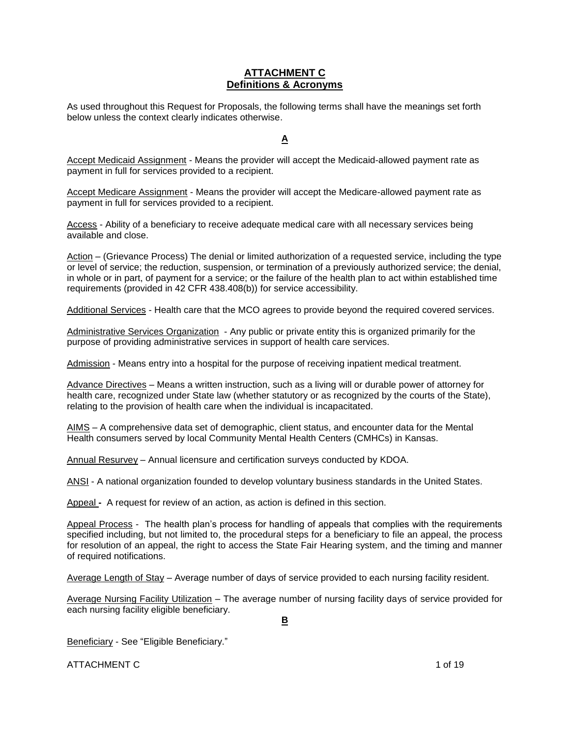## **ATTACHMENT C Definitions & Acronyms**

As used throughout this Request for Proposals, the following terms shall have the meanings set forth below unless the context clearly indicates otherwise.

## **A**

Accept Medicaid Assignment - Means the provider will accept the Medicaid-allowed payment rate as payment in full for services provided to a recipient.

Accept Medicare Assignment - Means the provider will accept the Medicare-allowed payment rate as payment in full for services provided to a recipient.

Access - Ability of a beneficiary to receive adequate medical care with all necessary services being available and close.

Action – (Grievance Process) The denial or limited authorization of a requested service, including the type or level of service; the reduction, suspension, or termination of a previously authorized service; the denial, in whole or in part, of payment for a service; or the failure of the health plan to act within established time requirements (provided in 42 CFR 438.408(b)) for service accessibility.

Additional Services - Health care that the MCO agrees to provide beyond the required covered services.

Administrative Services Organization - Any public or private entity this is organized primarily for the purpose of providing administrative services in support of health care services.

Admission - Means entry into a hospital for the purpose of receiving inpatient medical treatment.

Advance Directives – Means a written instruction, such as a living will or durable power of attorney for health care, recognized under State law (whether statutory or as recognized by the courts of the State), relating to the provision of health care when the individual is incapacitated.

AIMS – A comprehensive data set of demographic, client status, and encounter data for the Mental Health consumers served by local Community Mental Health Centers (CMHCs) in Kansas.

Annual Resurvey – Annual licensure and certification surveys conducted by KDOA.

ANSI - A national organization founded to develop voluntary business standards in the United States.

Appeal **-** A request for review of an action, as action is defined in this section.

Appeal Process - The health plan's process for handling of appeals that complies with the requirements specified including, but not limited to, the procedural steps for a beneficiary to file an appeal, the process for resolution of an appeal, the right to access the State Fair Hearing system, and the timing and manner of required notifications.

Average Length of Stay – Average number of days of service provided to each nursing facility resident.

Average Nursing Facility Utilization – The average number of nursing facility days of service provided for each nursing facility eligible beneficiary.

**B**

Beneficiary - See "Eligible Beneficiary."

ATTACHMENT C 1 of 19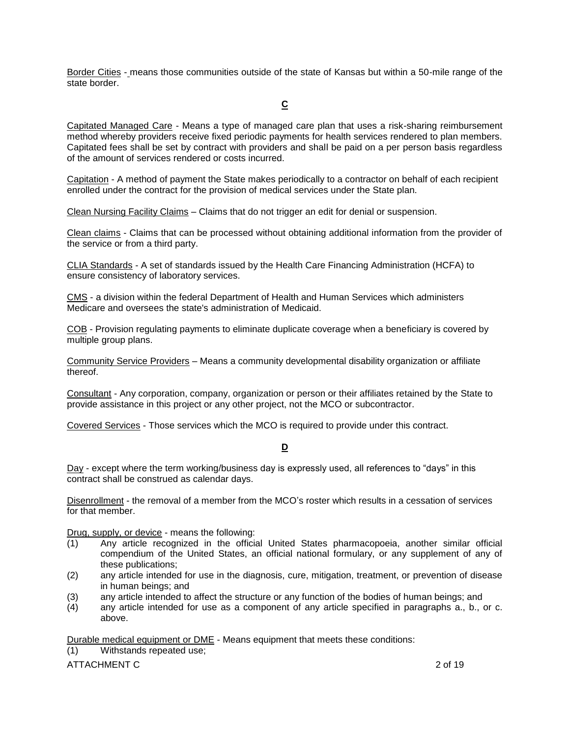Border Cities - means those communities outside of the state of Kansas but within a 50-mile range of the state border.

# **C**

Capitated Managed Care - Means a type of managed care plan that uses a risk-sharing reimbursement method whereby providers receive fixed periodic payments for health services rendered to plan members. Capitated fees shall be set by contract with providers and shall be paid on a per person basis regardless of the amount of services rendered or costs incurred.

Capitation - A method of payment the State makes periodically to a contractor on behalf of each recipient enrolled under the contract for the provision of medical services under the State plan.

Clean Nursing Facility Claims – Claims that do not trigger an edit for denial or suspension.

Clean claims - Claims that can be processed without obtaining additional information from the provider of the service or from a third party.

CLIA Standards - A set of standards issued by the Health Care Financing Administration (HCFA) to ensure consistency of laboratory services.

CMS - a division within the federal Department of Health and Human Services which administers Medicare and oversees the state's administration of Medicaid.

COB - Provision regulating payments to eliminate duplicate coverage when a beneficiary is covered by multiple group plans.

Community Service Providers – Means a community developmental disability organization or affiliate thereof.

Consultant - Any corporation, company, organization or person or their affiliates retained by the State to provide assistance in this project or any other project, not the MCO or subcontractor.

Covered Services - Those services which the MCO is required to provide under this contract.

### **D**

Day - except where the term working/business day is expressly used, all references to "days" in this contract shall be construed as calendar days.

Disenrollment - the removal of a member from the MCO's roster which results in a cessation of services for that member.

Drug, supply, or device - means the following:

- (1) Any article recognized in the official United States pharmacopoeia, another similar official compendium of the United States, an official national formulary, or any supplement of any of these publications;
- (2) any article intended for use in the diagnosis, cure, mitigation, treatment, or prevention of disease in human beings; and
- (3) any article intended to affect the structure or any function of the bodies of human beings; and
- (4) any article intended for use as a component of any article specified in paragraphs a., b., or c. above.

Durable medical equipment or DME - Means equipment that meets these conditions:

(1) Withstands repeated use;

ATTACHMENT C 2 of 19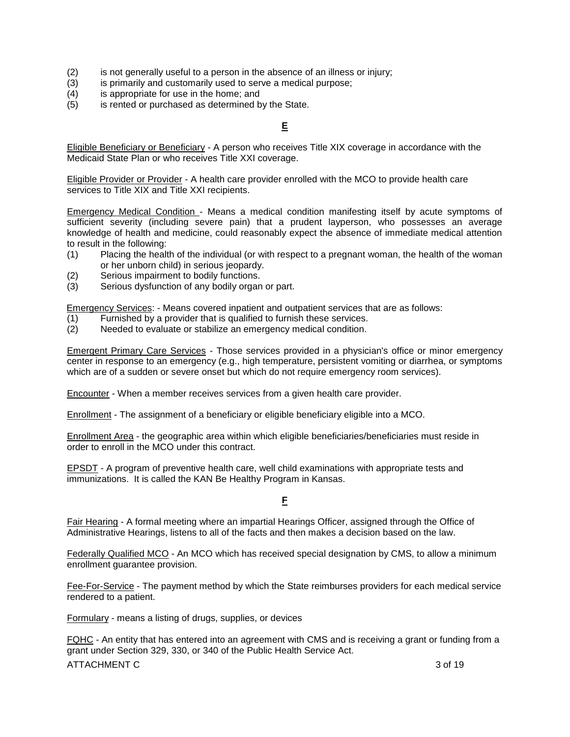- (2) is not generally useful to a person in the absence of an illness or injury;
- (3) is primarily and customarily used to serve a medical purpose;
- (4) is appropriate for use in the home; and
- (5) is rented or purchased as determined by the State.

# **E**

Eligible Beneficiary or Beneficiary - A person who receives Title XIX coverage in accordance with the Medicaid State Plan or who receives Title XXI coverage.

Eligible Provider or Provider - A health care provider enrolled with the MCO to provide health care services to Title XIX and Title XXI recipients.

Emergency Medical Condition - Means a medical condition manifesting itself by acute symptoms of sufficient severity (including severe pain) that a prudent layperson, who possesses an average knowledge of health and medicine, could reasonably expect the absence of immediate medical attention to result in the following:

- (1) Placing the health of the individual (or with respect to a pregnant woman, the health of the woman or her unborn child) in serious jeopardy.
- (2) Serious impairment to bodily functions.
- (3) Serious dysfunction of any bodily organ or part.

Emergency Services: - Means covered inpatient and outpatient services that are as follows:

- (1) Furnished by a provider that is qualified to furnish these services.
- (2) Needed to evaluate or stabilize an emergency medical condition.

Emergent Primary Care Services - Those services provided in a physician's office or minor emergency center in response to an emergency (e.g., high temperature, persistent vomiting or diarrhea, or symptoms which are of a sudden or severe onset but which do not require emergency room services).

Encounter - When a member receives services from a given health care provider.

Enrollment - The assignment of a beneficiary or eligible beneficiary eligible into a MCO.

Enrollment Area - the geographic area within which eligible beneficiaries/beneficiaries must reside in order to enroll in the MCO under this contract.

EPSDT - A program of preventive health care, well child examinations with appropriate tests and immunizations. It is called the KAN Be Healthy Program in Kansas.

**F**

Fair Hearing - A formal meeting where an impartial Hearings Officer, assigned through the Office of Administrative Hearings, listens to all of the facts and then makes a decision based on the law.

Federally Qualified MCO - An MCO which has received special designation by CMS, to allow a minimum enrollment guarantee provision.

Fee-For-Service - The payment method by which the State reimburses providers for each medical service rendered to a patient.

Formulary - means a listing of drugs, supplies, or devices

FQHC - An entity that has entered into an agreement with CMS and is receiving a grant or funding from a grant under Section 329, 330, or 340 of the Public Health Service Act.

ATTACHMENT C 3 of 19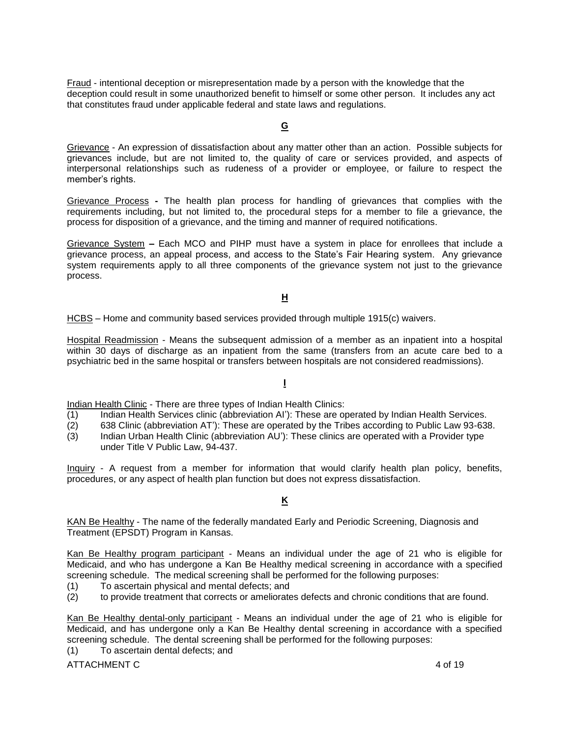Fraud - intentional deception or misrepresentation made by a person with the knowledge that the deception could result in some unauthorized benefit to himself or some other person. It includes any act that constitutes fraud under applicable federal and state laws and regulations.

#### **G**

Grievance - An expression of dissatisfaction about any matter other than an action. Possible subjects for grievances include, but are not limited to, the quality of care or services provided, and aspects of interpersonal relationships such as rudeness of a provider or employee, or failure to respect the member's rights.

Grievance Process **-** The health plan process for handling of grievances that complies with the requirements including, but not limited to, the procedural steps for a member to file a grievance, the process for disposition of a grievance, and the timing and manner of required notifications.

Grievance System **–** Each MCO and PIHP must have a system in place for enrollees that include a grievance process, an appeal process, and access to the State's Fair Hearing system. Any grievance system requirements apply to all three components of the grievance system not just to the grievance process.

### **H**

HCBS – Home and community based services provided through multiple 1915(c) waivers.

Hospital Readmission - Means the subsequent admission of a member as an inpatient into a hospital within 30 days of discharge as an inpatient from the same (transfers from an acute care bed to a psychiatric bed in the same hospital or transfers between hospitals are not considered readmissions).

### **I**

Indian Health Clinic - There are three types of Indian Health Clinics:

- (1) Indian Health Services clinic (abbreviation AI'): These are operated by Indian Health Services.
- (2) 638 Clinic (abbreviation AT'): These are operated by the Tribes according to Public Law 93-638.
- (3) Indian Urban Health Clinic (abbreviation AU'): These clinics are operated with a Provider type under Title V Public Law, 94-437.

Inquiry - A request from a member for information that would clarify health plan policy, benefits, procedures, or any aspect of health plan function but does not express dissatisfaction.

### **K**

KAN Be Healthy - The name of the federally mandated Early and Periodic Screening, Diagnosis and Treatment (EPSDT) Program in Kansas.

Kan Be Healthy program participant - Means an individual under the age of 21 who is eligible for Medicaid, and who has undergone a Kan Be Healthy medical screening in accordance with a specified screening schedule. The medical screening shall be performed for the following purposes:

- (1) To ascertain physical and mental defects; and
- (2) to provide treatment that corrects or ameliorates defects and chronic conditions that are found.

Kan Be Healthy dental-only participant - Means an individual under the age of 21 who is eligible for Medicaid, and has undergone only a Kan Be Healthy dental screening in accordance with a specified screening schedule. The dental screening shall be performed for the following purposes:

(1) To ascertain dental defects; and

ATTACHMENT C 4 of 19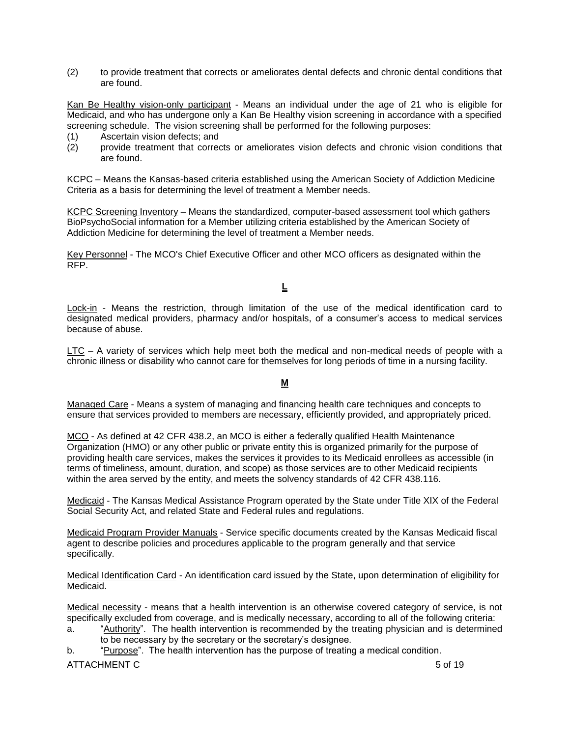(2) to provide treatment that corrects or ameliorates dental defects and chronic dental conditions that are found.

Kan Be Healthy vision-only participant - Means an individual under the age of 21 who is eligible for Medicaid, and who has undergone only a Kan Be Healthy vision screening in accordance with a specified screening schedule. The vision screening shall be performed for the following purposes:

- (1) Ascertain vision defects; and
- (2) provide treatment that corrects or ameliorates vision defects and chronic vision conditions that are found.

KCPC – Means the Kansas-based criteria established using the American Society of Addiction Medicine Criteria as a basis for determining the level of treatment a Member needs.

KCPC Screening Inventory – Means the standardized, computer-based assessment tool which gathers BioPsychoSocial information for a Member utilizing criteria established by the American Society of Addiction Medicine for determining the level of treatment a Member needs.

Key Personnel - The MCO's Chief Executive Officer and other MCO officers as designated within the RFP.

### **L**

Lock-in - Means the restriction, through limitation of the use of the medical identification card to designated medical providers, pharmacy and/or hospitals, of a consumer's access to medical services because of abuse.

LTC – A variety of services which help meet both the medical and non-medical needs of people with a chronic illness or disability who cannot care for themselves for long periods of time in a nursing facility.

#### **M**

Managed Care - Means a system of managing and financing health care techniques and concepts to ensure that services provided to members are necessary, efficiently provided, and appropriately priced.

MCO - As defined at 42 CFR 438.2, an MCO is either a federally qualified Health Maintenance Organization (HMO) or any other public or private entity this is organized primarily for the purpose of providing health care services, makes the services it provides to its Medicaid enrollees as accessible (in terms of timeliness, amount, duration, and scope) as those services are to other Medicaid recipients within the area served by the entity, and meets the solvency standards of 42 CFR 438.116.

Medicaid - The Kansas Medical Assistance Program operated by the State under Title XIX of the Federal Social Security Act, and related State and Federal rules and regulations.

Medicaid Program Provider Manuals - Service specific documents created by the Kansas Medicaid fiscal agent to describe policies and procedures applicable to the program generally and that service specifically.

Medical Identification Card - An identification card issued by the State, upon determination of eligibility for Medicaid.

Medical necessity - means that a health intervention is an otherwise covered category of service, is not specifically excluded from coverage, and is medically necessary, according to all of the following criteria:

a. "Authority". The health intervention is recommended by the treating physician and is determined to be necessary by the secretary or the secretary's designee.

b. "Purpose". The health intervention has the purpose of treating a medical condition.

#### ATTACHMENT C SOLUTION CONTROL CONTROL CONTROL CONTROL CONTROL CONTROL CONTROL CONTROL CONTROL CONTROL CONTROL CONTROL CONTROL CONTROL CONTROL CONTROL CONTROL CONTROL CONTROL CONTROL CONTROL CONTROL CONTROL CONTROL CONTROL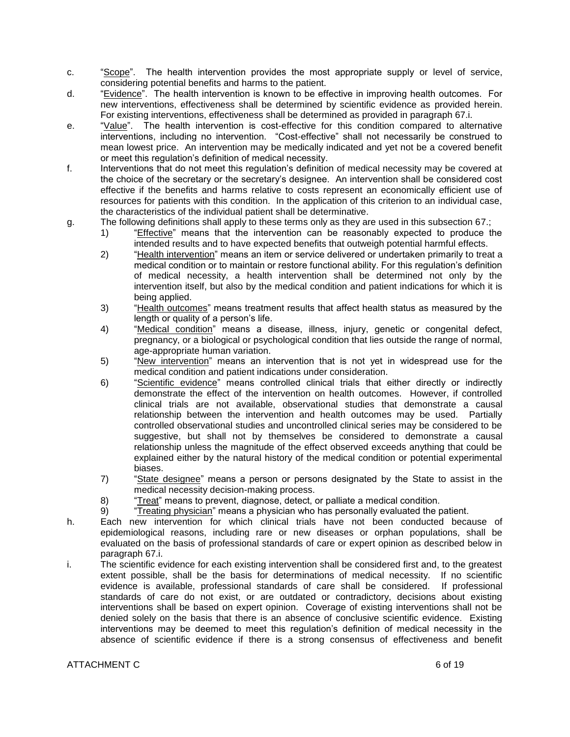- c. "Scope". The health intervention provides the most appropriate supply or level of service, considering potential benefits and harms to the patient.
- d. "Evidence". The health intervention is known to be effective in improving health outcomes. For new interventions, effectiveness shall be determined by scientific evidence as provided herein. For existing interventions, effectiveness shall be determined as provided in paragraph 67.i.
- e. "Value". The health intervention is cost-effective for this condition compared to alternative interventions, including no intervention. "Cost-effective" shall not necessarily be construed to mean lowest price. An intervention may be medically indicated and yet not be a covered benefit or meet this regulation's definition of medical necessity.
- f. Interventions that do not meet this regulation's definition of medical necessity may be covered at the choice of the secretary or the secretary's designee. An intervention shall be considered cost effective if the benefits and harms relative to costs represent an economically efficient use of resources for patients with this condition. In the application of this criterion to an individual case, the characteristics of the individual patient shall be determinative.
- g. The following definitions shall apply to these terms only as they are used in this subsection 67.;
	- 1) "Effective" means that the intervention can be reasonably expected to produce the intended results and to have expected benefits that outweigh potential harmful effects.
	- 2) "Health intervention" means an item or service delivered or undertaken primarily to treat a medical condition or to maintain or restore functional ability. For this regulation's definition of medical necessity, a health intervention shall be determined not only by the intervention itself, but also by the medical condition and patient indications for which it is being applied.
	- 3) "Health outcomes" means treatment results that affect health status as measured by the length or quality of a person's life.
	- 4) "Medical condition" means a disease, illness, injury, genetic or congenital defect. pregnancy, or a biological or psychological condition that lies outside the range of normal, age-appropriate human variation.
	- 5) "New intervention" means an intervention that is not yet in widespread use for the medical condition and patient indications under consideration.
	- 6) "Scientific evidence" means controlled clinical trials that either directly or indirectly demonstrate the effect of the intervention on health outcomes. However, if controlled clinical trials are not available, observational studies that demonstrate a causal relationship between the intervention and health outcomes may be used. Partially controlled observational studies and uncontrolled clinical series may be considered to be suggestive, but shall not by themselves be considered to demonstrate a causal relationship unless the magnitude of the effect observed exceeds anything that could be explained either by the natural history of the medical condition or potential experimental biases.
	- 7) "State designee" means a person or persons designated by the State to assist in the medical necessity decision-making process.
	- 8) "Treat" means to prevent, diagnose, detect, or palliate a medical condition.
	- 9) "Treating physician" means a physician who has personally evaluated the patient.
- h. Each new intervention for which clinical trials have not been conducted because of epidemiological reasons, including rare or new diseases or orphan populations, shall be evaluated on the basis of professional standards of care or expert opinion as described below in paragraph 67.i.
- i. The scientific evidence for each existing intervention shall be considered first and, to the greatest extent possible, shall be the basis for determinations of medical necessity. If no scientific evidence is available, professional standards of care shall be considered. If professional standards of care do not exist, or are outdated or contradictory, decisions about existing interventions shall be based on expert opinion. Coverage of existing interventions shall not be denied solely on the basis that there is an absence of conclusive scientific evidence. Existing interventions may be deemed to meet this regulation's definition of medical necessity in the absence of scientific evidence if there is a strong consensus of effectiveness and benefit

#### ATTACHMENT C 6 of 19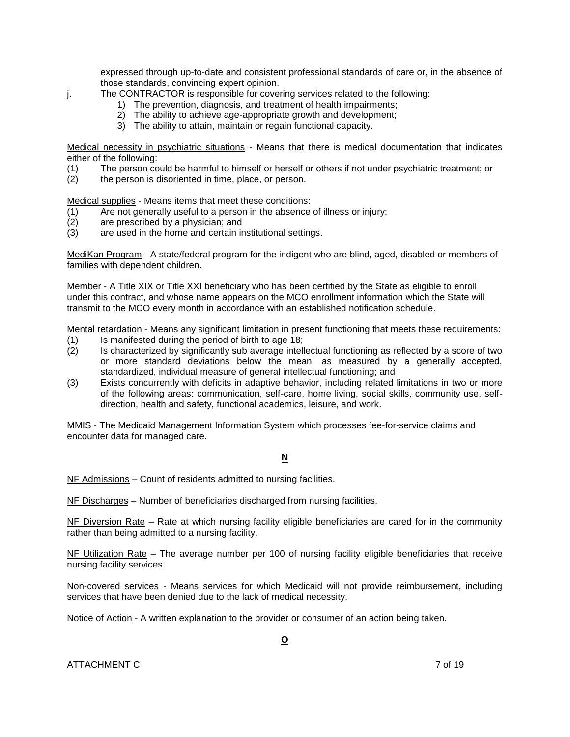expressed through up-to-date and consistent professional standards of care or, in the absence of those standards, convincing expert opinion.

j. The CONTRACTOR is responsible for covering services related to the following:

- 1) The prevention, diagnosis, and treatment of health impairments;
- 2) The ability to achieve age-appropriate growth and development;
- 3) The ability to attain, maintain or regain functional capacity.

Medical necessity in psychiatric situations - Means that there is medical documentation that indicates either of the following:

- (1) The person could be harmful to himself or herself or others if not under psychiatric treatment; or
- (2) the person is disoriented in time, place, or person.

Medical supplies - Means items that meet these conditions:

- (1) Are not generally useful to a person in the absence of illness or injury;
- (2) are prescribed by a physician; and
- (3) are used in the home and certain institutional settings.

MediKan Program - A state/federal program for the indigent who are blind, aged, disabled or members of families with dependent children.

Member - A Title XIX or Title XXI beneficiary who has been certified by the State as eligible to enroll under this contract, and whose name appears on the MCO enrollment information which the State will transmit to the MCO every month in accordance with an established notification schedule.

Mental retardation - Means any significant limitation in present functioning that meets these requirements:

- (1) Is manifested during the period of birth to age 18;
- (2) Is characterized by significantly sub average intellectual functioning as reflected by a score of two or more standard deviations below the mean, as measured by a generally accepted, standardized, individual measure of general intellectual functioning; and
- (3) Exists concurrently with deficits in adaptive behavior, including related limitations in two or more of the following areas: communication, self-care, home living, social skills, community use, selfdirection, health and safety, functional academics, leisure, and work.

MMIS - The Medicaid Management Information System which processes fee-for-service claims and encounter data for managed care.

### **N**

NF Admissions – Count of residents admitted to nursing facilities.

NF Discharges – Number of beneficiaries discharged from nursing facilities.

NF Diversion Rate – Rate at which nursing facility eligible beneficiaries are cared for in the community rather than being admitted to a nursing facility.

NF Utilization Rate – The average number per 100 of nursing facility eligible beneficiaries that receive nursing facility services.

Non-covered services - Means services for which Medicaid will not provide reimbursement, including services that have been denied due to the lack of medical necessity.

Notice of Action - A written explanation to the provider or consumer of an action being taken.

ATTACHMENT C 7 of 19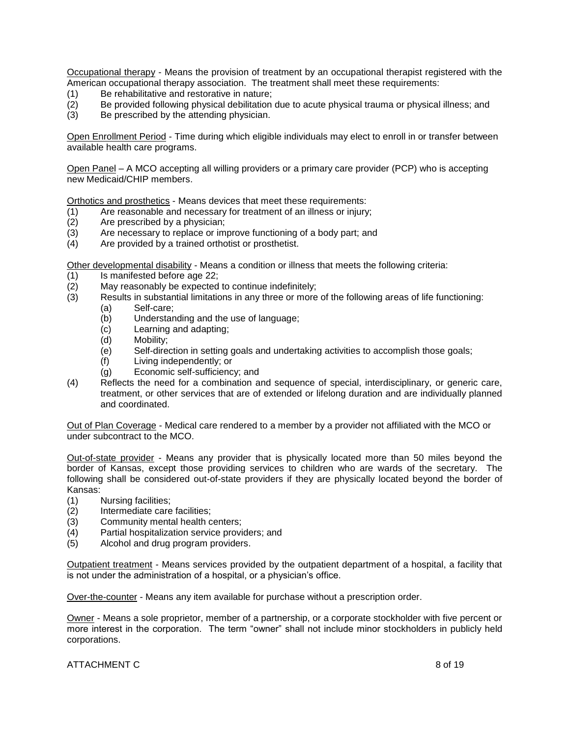Occupational therapy - Means the provision of treatment by an occupational therapist registered with the American occupational therapy association. The treatment shall meet these requirements:

- (1) Be rehabilitative and restorative in nature;
- (2) Be provided following physical debilitation due to acute physical trauma or physical illness; and
- (3) Be prescribed by the attending physician.

Open Enrollment Period - Time during which eligible individuals may elect to enroll in or transfer between available health care programs.

Open Panel – A MCO accepting all willing providers or a primary care provider (PCP) who is accepting new Medicaid/CHIP members.

Orthotics and prosthetics - Means devices that meet these requirements:

- (1) Are reasonable and necessary for treatment of an illness or injury;
- (2) Are prescribed by a physician;
- (3) Are necessary to replace or improve functioning of a body part; and
- (4) Are provided by a trained orthotist or prosthetist.

Other developmental disability - Means a condition or illness that meets the following criteria:

- (1) Is manifested before age 22;
- (2) May reasonably be expected to continue indefinitely;
- (3) Results in substantial limitations in any three or more of the following areas of life functioning:
	- (a) Self-care;
	- (b) Understanding and the use of language;
	- (c) Learning and adapting;
	- (d) Mobility;
	- (e) Self-direction in setting goals and undertaking activities to accomplish those goals;
	- (f) Living independently; or
	- (g) Economic self-sufficiency; and
- (4) Reflects the need for a combination and sequence of special, interdisciplinary, or generic care, treatment, or other services that are of extended or lifelong duration and are individually planned and coordinated.

Out of Plan Coverage - Medical care rendered to a member by a provider not affiliated with the MCO or under subcontract to the MCO.

Out-of-state provider - Means any provider that is physically located more than 50 miles beyond the border of Kansas, except those providing services to children who are wards of the secretary. The following shall be considered out-of-state providers if they are physically located beyond the border of Kansas:

- (1) Nursing facilities;
- (2) Intermediate care facilities;
- (3) Community mental health centers;
- (4) Partial hospitalization service providers; and
- (5) Alcohol and drug program providers.

Outpatient treatment - Means services provided by the outpatient department of a hospital, a facility that is not under the administration of a hospital, or a physician's office.

Over-the-counter - Means any item available for purchase without a prescription order.

Owner - Means a sole proprietor, member of a partnership, or a corporate stockholder with five percent or more interest in the corporation. The term "owner" shall not include minor stockholders in publicly held corporations.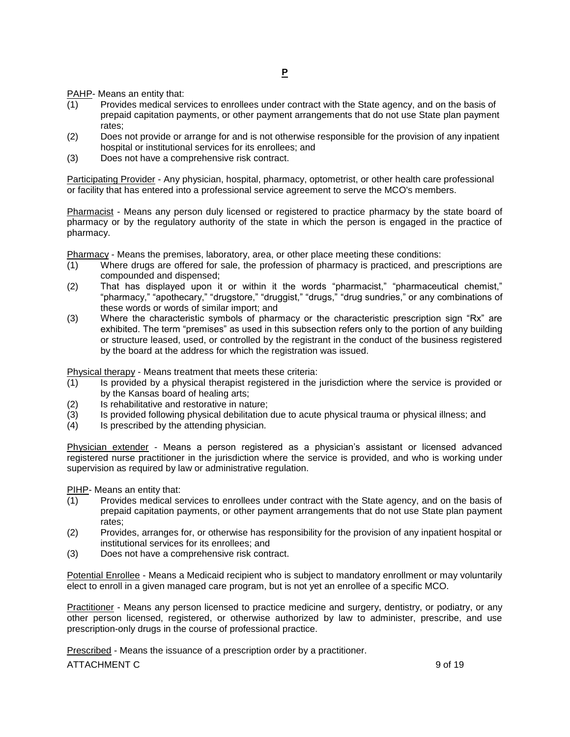PAHP- Means an entity that:

- (1) Provides medical services to enrollees under contract with the State agency, and on the basis of prepaid capitation payments, or other payment arrangements that do not use State plan payment rates;
- (2) Does not provide or arrange for and is not otherwise responsible for the provision of any inpatient hospital or institutional services for its enrollees; and
- (3) Does not have a comprehensive risk contract.

Participating Provider - Any physician, hospital, pharmacy, optometrist, or other health care professional or facility that has entered into a professional service agreement to serve the MCO's members.

Pharmacist - Means any person duly licensed or registered to practice pharmacy by the state board of pharmacy or by the regulatory authority of the state in which the person is engaged in the practice of pharmacy.

Pharmacy - Means the premises, laboratory, area, or other place meeting these conditions:

- (1) Where drugs are offered for sale, the profession of pharmacy is practiced, and prescriptions are compounded and dispensed;
- (2) That has displayed upon it or within it the words "pharmacist," "pharmaceutical chemist," "pharmacy," "apothecary," "drugstore," "druggist," "drugs," "drug sundries," or any combinations of these words or words of similar import; and
- (3) Where the characteristic symbols of pharmacy or the characteristic prescription sign "Rx" are exhibited. The term "premises" as used in this subsection refers only to the portion of any building or structure leased, used, or controlled by the registrant in the conduct of the business registered by the board at the address for which the registration was issued.

Physical therapy - Means treatment that meets these criteria:

- (1) Is provided by a physical therapist registered in the jurisdiction where the service is provided or by the Kansas board of healing arts;
- (2) Is rehabilitative and restorative in nature;
- (3) Is provided following physical debilitation due to acute physical trauma or physical illness; and
- (4) Is prescribed by the attending physician.

Physician extender - Means a person registered as a physician's assistant or licensed advanced registered nurse practitioner in the jurisdiction where the service is provided, and who is working under supervision as required by law or administrative regulation.

PIHP- Means an entity that:

- (1) Provides medical services to enrollees under contract with the State agency, and on the basis of prepaid capitation payments, or other payment arrangements that do not use State plan payment rates;
- (2) Provides, arranges for, or otherwise has responsibility for the provision of any inpatient hospital or institutional services for its enrollees; and
- (3) Does not have a comprehensive risk contract.

Potential Enrollee - Means a Medicaid recipient who is subject to mandatory enrollment or may voluntarily elect to enroll in a given managed care program, but is not yet an enrollee of a specific MCO.

Practitioner - Means any person licensed to practice medicine and surgery, dentistry, or podiatry, or any other person licensed, registered, or otherwise authorized by law to administer, prescribe, and use prescription-only drugs in the course of professional practice.

Prescribed - Means the issuance of a prescription order by a practitioner.

ATTACHMENT C 9 of 19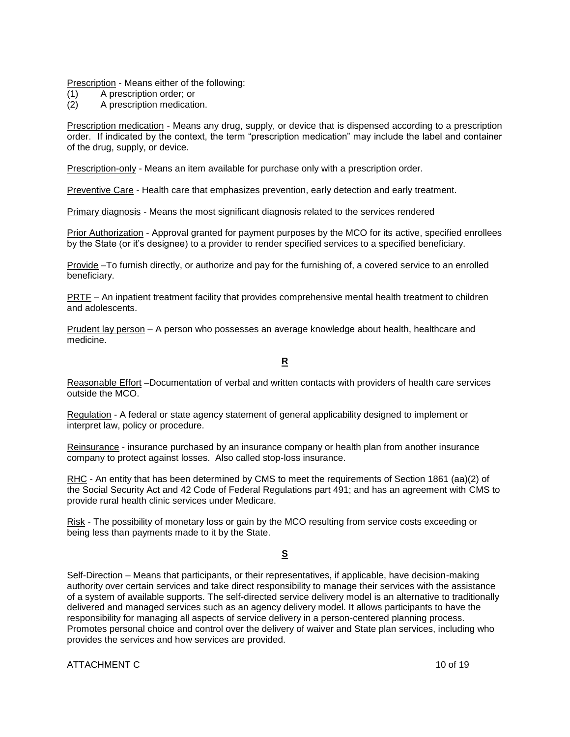Prescription - Means either of the following:

- (1) A prescription order; or
- (2) A prescription medication.

Prescription medication - Means any drug, supply, or device that is dispensed according to a prescription order. If indicated by the context, the term "prescription medication" may include the label and container of the drug, supply, or device.

Prescription-only - Means an item available for purchase only with a prescription order.

Preventive Care - Health care that emphasizes prevention, early detection and early treatment.

Primary diagnosis - Means the most significant diagnosis related to the services rendered

Prior Authorization - Approval granted for payment purposes by the MCO for its active, specified enrollees by the State (or it's designee) to a provider to render specified services to a specified beneficiary.

Provide –To furnish directly, or authorize and pay for the furnishing of, a covered service to an enrolled beneficiary.

PRTF – An inpatient treatment facility that provides comprehensive mental health treatment to children and adolescents.

Prudent lay person – A person who possesses an average knowledge about health, healthcare and medicine.

#### **R**

Reasonable Effort –Documentation of verbal and written contacts with providers of health care services outside the MCO.

Regulation - A federal or state agency statement of general applicability designed to implement or interpret law, policy or procedure.

Reinsurance - insurance purchased by an insurance company or health plan from another insurance company to protect against losses. Also called stop-loss insurance.

RHC - An entity that has been determined by CMS to meet the requirements of Section 1861 (aa)(2) of the Social Security Act and 42 Code of Federal Regulations part 491; and has an agreement with CMS to provide rural health clinic services under Medicare.

Risk - The possibility of monetary loss or gain by the MCO resulting from service costs exceeding or being less than payments made to it by the State.

## **S**

Self-Direction – Means that participants, or their representatives, if applicable, have decision-making authority over certain services and take direct responsibility to manage their services with the assistance of a system of available supports. The self-directed service delivery model is an alternative to traditionally delivered and managed services such as an agency delivery model. It allows participants to have the responsibility for managing all aspects of service delivery in a person-centered planning process. Promotes personal choice and control over the delivery of waiver and State plan services, including who provides the services and how services are provided.

ATTACHMENT C 10 of 19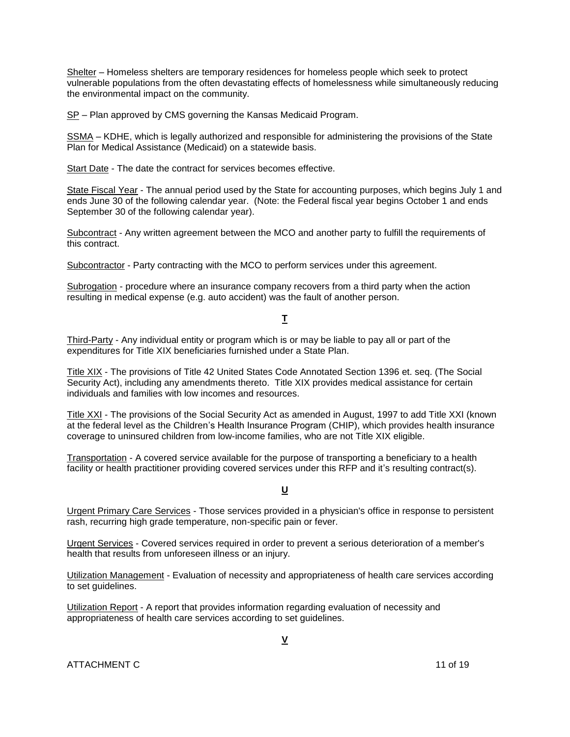Shelter – Homeless shelters are temporary residences for homeless people which seek to protect vulnerable populations from the often devastating effects of homelessness while simultaneously reducing the environmental impact on the community.

SP - Plan approved by CMS governing the Kansas Medicaid Program.

SSMA – KDHE, which is legally authorized and responsible for administering the provisions of the State Plan for Medical Assistance (Medicaid) on a statewide basis.

Start Date - The date the contract for services becomes effective.

State Fiscal Year - The annual period used by the State for accounting purposes, which begins July 1 and ends June 30 of the following calendar year. (Note: the Federal fiscal year begins October 1 and ends September 30 of the following calendar year).

Subcontract - Any written agreement between the MCO and another party to fulfill the requirements of this contract.

Subcontractor - Party contracting with the MCO to perform services under this agreement.

Subrogation - procedure where an insurance company recovers from a third party when the action resulting in medical expense (e.g. auto accident) was the fault of another person.

### **T**

Third-Party - Any individual entity or program which is or may be liable to pay all or part of the expenditures for Title XIX beneficiaries furnished under a State Plan.

Title XIX - The provisions of Title 42 United States Code Annotated Section 1396 et. seq. (The Social Security Act), including any amendments thereto. Title XIX provides medical assistance for certain individuals and families with low incomes and resources.

Title XXI - The provisions of the Social Security Act as amended in August, 1997 to add Title XXI (known at the federal level as the Children's Health Insurance Program (CHIP), which provides health insurance coverage to uninsured children from low-income families, who are not Title XIX eligible.

Transportation - A covered service available for the purpose of transporting a beneficiary to a health facility or health practitioner providing covered services under this RFP and it's resulting contract(s).

#### **U**

Urgent Primary Care Services - Those services provided in a physician's office in response to persistent rash, recurring high grade temperature, non-specific pain or fever.

Urgent Services - Covered services required in order to prevent a serious deterioration of a member's health that results from unforeseen illness or an injury.

Utilization Management - Evaluation of necessity and appropriateness of health care services according to set guidelines.

Utilization Report - A report that provides information regarding evaluation of necessity and appropriateness of health care services according to set guidelines.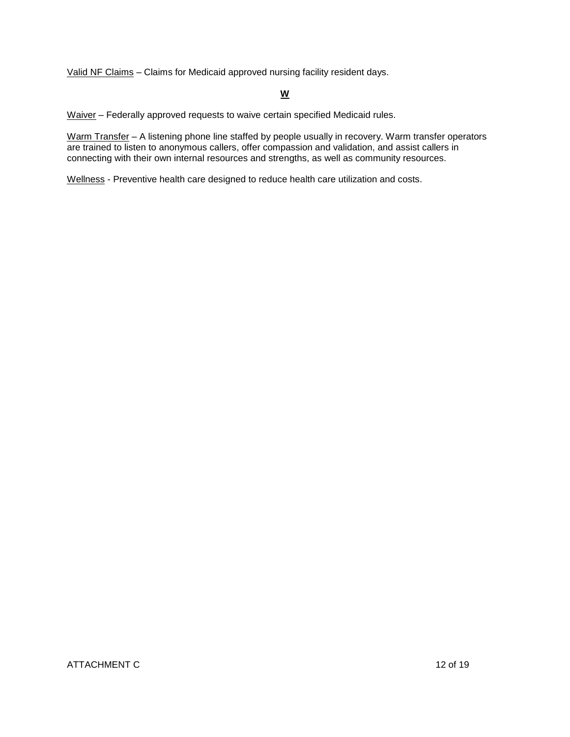Valid NF Claims – Claims for Medicaid approved nursing facility resident days.

## **W**

Waiver – Federally approved requests to waive certain specified Medicaid rules.

Warm Transfer – A listening phone line staffed by people usually in recovery. Warm transfer operators are trained to listen to anonymous callers, offer compassion and validation, and assist callers in connecting with their own internal resources and strengths, as well as community resources.

Wellness - Preventive health care designed to reduce health care utilization and costs.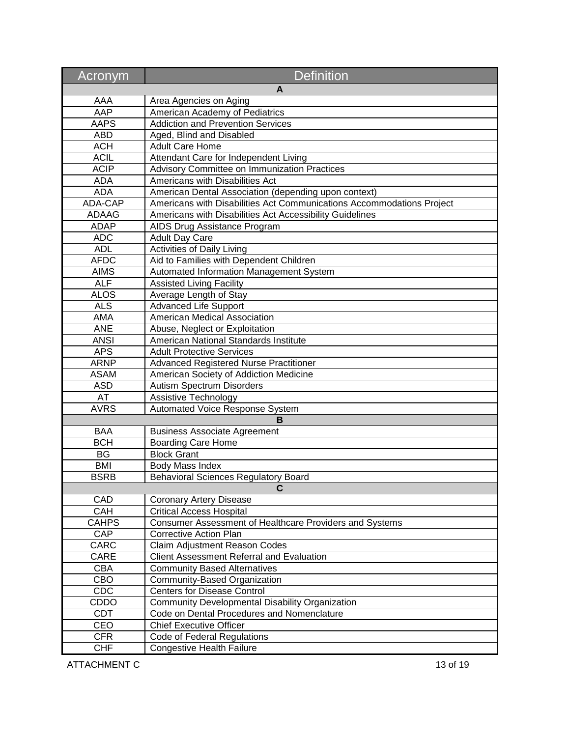| Acronym      | <b>Definition</b>                                                     |
|--------------|-----------------------------------------------------------------------|
|              | A                                                                     |
| AAA          | Area Agencies on Aging                                                |
| AAP          | American Academy of Pediatrics                                        |
| <b>AAPS</b>  | <b>Addiction and Prevention Services</b>                              |
| <b>ABD</b>   | Aged, Blind and Disabled                                              |
| <b>ACH</b>   | <b>Adult Care Home</b>                                                |
| <b>ACIL</b>  | Attendant Care for Independent Living                                 |
| <b>ACIP</b>  | Advisory Committee on Immunization Practices                          |
| <b>ADA</b>   | Americans with Disabilities Act                                       |
| <b>ADA</b>   | American Dental Association (depending upon context)                  |
| ADA-CAP      | Americans with Disabilities Act Communications Accommodations Project |
| ADAAG        | Americans with Disabilities Act Accessibility Guidelines              |
| <b>ADAP</b>  | AIDS Drug Assistance Program                                          |
| <b>ADC</b>   | <b>Adult Day Care</b>                                                 |
| <b>ADL</b>   | <b>Activities of Daily Living</b>                                     |
| <b>AFDC</b>  | Aid to Families with Dependent Children                               |
| <b>AIMS</b>  | Automated Information Management System                               |
| <b>ALF</b>   | <b>Assisted Living Facility</b>                                       |
| <b>ALOS</b>  | Average Length of Stay                                                |
| <b>ALS</b>   | <b>Advanced Life Support</b>                                          |
| AMA          | American Medical Association                                          |
| <b>ANE</b>   | Abuse, Neglect or Exploitation                                        |
| <b>ANSI</b>  | American National Standards Institute                                 |
| <b>APS</b>   | <b>Adult Protective Services</b>                                      |
| <b>ARNP</b>  | <b>Advanced Registered Nurse Practitioner</b>                         |
| <b>ASAM</b>  | American Society of Addiction Medicine                                |
| <b>ASD</b>   | Autism Spectrum Disorders                                             |
| AT           | Assistive Technology                                                  |
| <b>AVRS</b>  | Automated Voice Response System                                       |
|              | R                                                                     |
| <b>BAA</b>   | <b>Business Associate Agreement</b>                                   |
| <b>BCH</b>   | <b>Boarding Care Home</b>                                             |
| <b>BG</b>    | <b>Block Grant</b>                                                    |
| <b>BMI</b>   | <b>Body Mass Index</b>                                                |
| <b>BSRB</b>  | <b>Behavioral Sciences Regulatory Board</b>                           |
|              | C                                                                     |
| CAD          | <b>Coronary Artery Disease</b>                                        |
| CAH          | <b>Critical Access Hospital</b>                                       |
| <b>CAHPS</b> | Consumer Assessment of Healthcare Providers and Systems               |
| CAP          | <b>Corrective Action Plan</b>                                         |
| CARC         | Claim Adjustment Reason Codes                                         |
| CARE         | <b>Client Assessment Referral and Evaluation</b>                      |
| <b>CBA</b>   | <b>Community Based Alternatives</b>                                   |
| CBO          | Community-Based Organization                                          |
| CDC          | <b>Centers for Disease Control</b>                                    |
| CDDO         | Community Developmental Disability Organization                       |
| CDT          | Code on Dental Procedures and Nomenclature                            |
| CEO          | <b>Chief Executive Officer</b>                                        |
| <b>CFR</b>   | Code of Federal Regulations                                           |
| <b>CHF</b>   | <b>Congestive Health Failure</b>                                      |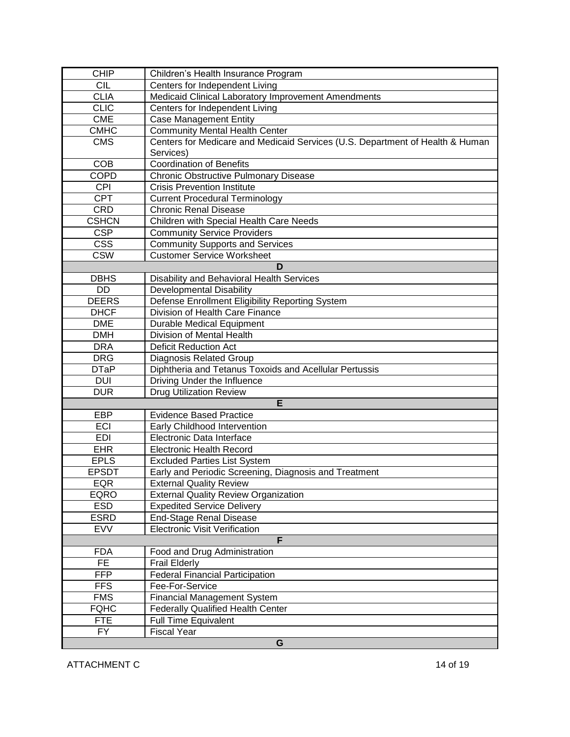| <b>CHIP</b>  | Children's Health Insurance Program                                           |
|--------------|-------------------------------------------------------------------------------|
| <b>CIL</b>   | Centers for Independent Living                                                |
| <b>CLIA</b>  | Medicaid Clinical Laboratory Improvement Amendments                           |
| <b>CLIC</b>  | Centers for Independent Living                                                |
| <b>CME</b>   | <b>Case Management Entity</b>                                                 |
| <b>CMHC</b>  | <b>Community Mental Health Center</b>                                         |
| <b>CMS</b>   | Centers for Medicare and Medicaid Services (U.S. Department of Health & Human |
|              | Services)                                                                     |
| <b>COB</b>   | <b>Coordination of Benefits</b>                                               |
| <b>COPD</b>  | <b>Chronic Obstructive Pulmonary Disease</b>                                  |
| CPI          | <b>Crisis Prevention Institute</b>                                            |
| <b>CPT</b>   | <b>Current Procedural Terminology</b>                                         |
| <b>CRD</b>   | <b>Chronic Renal Disease</b>                                                  |
| <b>CSHCN</b> | Children with Special Health Care Needs                                       |
| <b>CSP</b>   | <b>Community Service Providers</b>                                            |
| <b>CSS</b>   | <b>Community Supports and Services</b>                                        |
| <b>CSW</b>   | <b>Customer Service Worksheet</b>                                             |
|              | D                                                                             |
| <b>DBHS</b>  | Disability and Behavioral Health Services                                     |
| DD           | <b>Developmental Disability</b>                                               |
| <b>DEERS</b> | Defense Enrollment Eligibility Reporting System                               |
| <b>DHCF</b>  | Division of Health Care Finance                                               |
| <b>DME</b>   | <b>Durable Medical Equipment</b>                                              |
| <b>DMH</b>   | Division of Mental Health                                                     |
| <b>DRA</b>   | <b>Deficit Reduction Act</b>                                                  |
| <b>DRG</b>   | <b>Diagnosis Related Group</b>                                                |
| <b>DTaP</b>  | Diphtheria and Tetanus Toxoids and Acellular Pertussis                        |
| <b>DUI</b>   | Driving Under the Influence                                                   |
| <b>DUR</b>   | <b>Drug Utilization Review</b>                                                |
|              | E                                                                             |
| <b>EBP</b>   | <b>Evidence Based Practice</b>                                                |
| ECI          | Early Childhood Intervention                                                  |
| <b>EDI</b>   | Electronic Data Interface                                                     |
| <b>EHR</b>   | <b>Electronic Health Record</b>                                               |
| <b>EPLS</b>  | <b>Excluded Parties List System</b>                                           |
| <b>EPSDT</b> | Early and Periodic Screening, Diagnosis and Treatment                         |
| EQR          | <b>External Quality Review</b>                                                |
| EQRO         | <b>External Quality Review Organization</b>                                   |
| ESD          | <b>Expedited Service Delivery</b>                                             |
| <b>ESRD</b>  | <b>End-Stage Renal Disease</b>                                                |
| <b>EVV</b>   | <b>Electronic Visit Verification</b>                                          |
|              | F                                                                             |
| <b>FDA</b>   | Food and Drug Administration                                                  |
| FE           | <b>Frail Elderly</b>                                                          |
| <b>FFP</b>   | <b>Federal Financial Participation</b>                                        |
| <b>FFS</b>   | Fee-For-Service                                                               |
| <b>FMS</b>   | <b>Financial Management System</b>                                            |
| <b>FQHC</b>  | <b>Federally Qualified Health Center</b>                                      |
| <b>FTE</b>   | <b>Full Time Equivalent</b>                                                   |
| <b>FY</b>    | <b>Fiscal Year</b>                                                            |
|              |                                                                               |
| G            |                                                                               |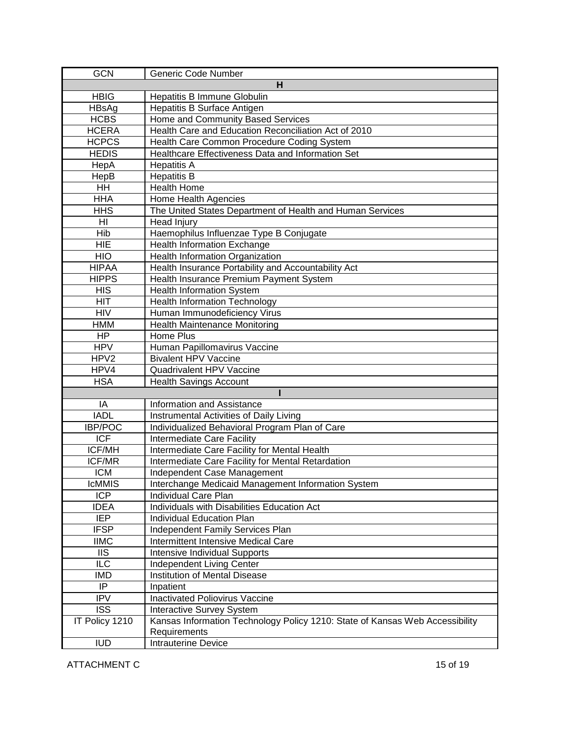| <b>GCN</b>     | Generic Code Number                                                                          |
|----------------|----------------------------------------------------------------------------------------------|
|                | н                                                                                            |
| <b>HBIG</b>    | Hepatitis B Immune Globulin                                                                  |
| HBsAg          | Hepatitis B Surface Antigen                                                                  |
| <b>HCBS</b>    | Home and Community Based Services                                                            |
| <b>HCERA</b>   | Health Care and Education Reconciliation Act of 2010                                         |
| <b>HCPCS</b>   | Health Care Common Procedure Coding System                                                   |
| <b>HEDIS</b>   | Healthcare Effectiveness Data and Information Set                                            |
| HepA           | <b>Hepatitis A</b>                                                                           |
| HepB           | <b>Hepatitis B</b>                                                                           |
| <b>HH</b>      | <b>Health Home</b>                                                                           |
| <b>HHA</b>     | Home Health Agencies                                                                         |
| <b>HHS</b>     | The United States Department of Health and Human Services                                    |
| HI             | Head Injury                                                                                  |
| Hib            | Haemophilus Influenzae Type B Conjugate                                                      |
| <b>HIE</b>     | Health Information Exchange                                                                  |
| <b>HIO</b>     | Health Information Organization                                                              |
| <b>HIPAA</b>   | Health Insurance Portability and Accountability Act                                          |
| <b>HIPPS</b>   | Health Insurance Premium Payment System                                                      |
| <b>HIS</b>     | <b>Health Information System</b>                                                             |
| <b>HIT</b>     | <b>Health Information Technology</b>                                                         |
| <b>HIV</b>     | Human Immunodeficiency Virus                                                                 |
| <b>HMM</b>     | <b>Health Maintenance Monitoring</b>                                                         |
| HP             | Home Plus                                                                                    |
| <b>HPV</b>     | Human Papillomavirus Vaccine                                                                 |
| HPV2           | <b>Bivalent HPV Vaccine</b>                                                                  |
| HPV4           | Quadrivalent HPV Vaccine                                                                     |
| <b>HSA</b>     | <b>Health Savings Account</b>                                                                |
|                |                                                                                              |
| IA             | Information and Assistance                                                                   |
| <b>IADL</b>    | <b>Instrumental Activities of Daily Living</b>                                               |
| <b>IBP/POC</b> | Individualized Behavioral Program Plan of Care                                               |
| <b>ICF</b>     | Intermediate Care Facility                                                                   |
| ICF/MH         | Intermediate Care Facility for Mental Health                                                 |
| ICF/MR         | Intermediate Care Facility for Mental Retardation                                            |
| <b>ICM</b>     | Independent Case Management                                                                  |
| <b>IcMMIS</b>  | Interchange Medicaid Management Information System                                           |
| ICP            | Individual Care Plan                                                                         |
| <b>IDEA</b>    | Individuals with Disabilities Education Act                                                  |
| <b>IEP</b>     | Individual Education Plan                                                                    |
| <b>IFSP</b>    | Independent Family Services Plan                                                             |
| <b>IIMC</b>    | Intermittent Intensive Medical Care                                                          |
| <b>IIS</b>     | Intensive Individual Supports                                                                |
| <b>ILC</b>     | Independent Living Center<br>Institution of Mental Disease                                   |
| IMD<br>IP      |                                                                                              |
| <b>IPV</b>     | Inpatient<br><b>Inactivated Poliovirus Vaccine</b>                                           |
|                |                                                                                              |
| <b>ISS</b>     | Interactive Survey System                                                                    |
| IT Policy 1210 | Kansas Information Technology Policy 1210: State of Kansas Web Accessibility<br>Requirements |
| <b>IUD</b>     | <b>Intrauterine Device</b>                                                                   |
|                |                                                                                              |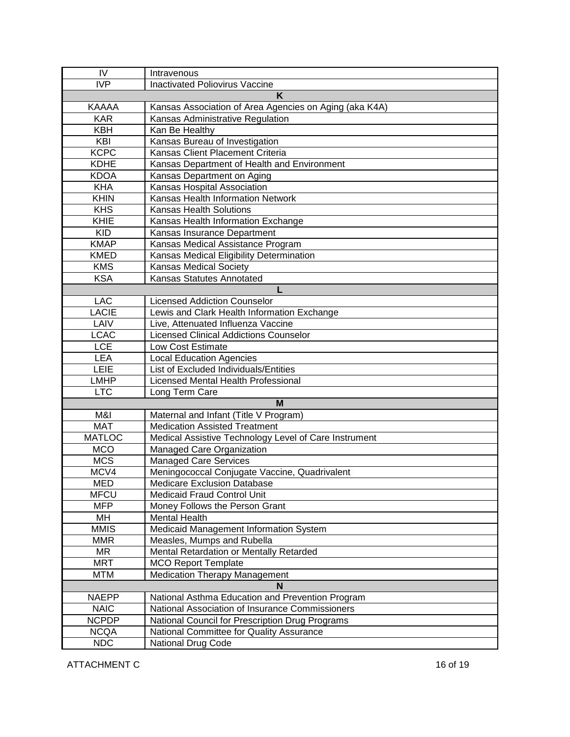| IV            | Intravenous                                            |  |
|---------------|--------------------------------------------------------|--|
| IVP           | Inactivated Poliovirus Vaccine                         |  |
| Κ             |                                                        |  |
| <b>KAAAA</b>  | Kansas Association of Area Agencies on Aging (aka K4A) |  |
| <b>KAR</b>    | Kansas Administrative Regulation                       |  |
| <b>KBH</b>    | Kan Be Healthy                                         |  |
| KBI           | Kansas Bureau of Investigation                         |  |
| <b>KCPC</b>   | Kansas Client Placement Criteria                       |  |
| <b>KDHE</b>   | Kansas Department of Health and Environment            |  |
| <b>KDOA</b>   | Kansas Department on Aging                             |  |
| <b>KHA</b>    | Kansas Hospital Association                            |  |
| <b>KHIN</b>   | Kansas Health Information Network                      |  |
| KHS           | <b>Kansas Health Solutions</b>                         |  |
| KHIE          | Kansas Health Information Exchange                     |  |
| <b>KID</b>    | Kansas Insurance Department                            |  |
| <b>KMAP</b>   | Kansas Medical Assistance Program                      |  |
| <b>KMED</b>   | Kansas Medical Eligibility Determination               |  |
| <b>KMS</b>    | Kansas Medical Society                                 |  |
| <b>KSA</b>    | Kansas Statutes Annotated                              |  |
|               | L                                                      |  |
| LAC           | <b>Licensed Addiction Counselor</b>                    |  |
| <b>LACIE</b>  | Lewis and Clark Health Information Exchange            |  |
| LAIV          | Live, Attenuated Influenza Vaccine                     |  |
| <b>LCAC</b>   | <b>Licensed Clinical Addictions Counselor</b>          |  |
| <b>LCE</b>    | <b>Low Cost Estimate</b>                               |  |
| <b>LEA</b>    | <b>Local Education Agencies</b>                        |  |
| LEIE          | List of Excluded Individuals/Entities                  |  |
| <b>LMHP</b>   | Licensed Mental Health Professional                    |  |
| <b>LTC</b>    | Long Term Care                                         |  |
|               | М                                                      |  |
| M&I           | Maternal and Infant (Title V Program)                  |  |
| <b>MAT</b>    | <b>Medication Assisted Treatment</b>                   |  |
| <b>MATLOC</b> | Medical Assistive Technology Level of Care Instrument  |  |
| <b>MCO</b>    | Managed Care Organization                              |  |
| <b>MCS</b>    | <b>Managed Care Services</b>                           |  |
| MCV4          | Meningococcal Conjugate Vaccine, Quadrivalent          |  |
| <b>MED</b>    | Medicare Exclusion Database                            |  |
| <b>MFCU</b>   | Medicaid Fraud Control Unit                            |  |
| <b>MFP</b>    | Money Follows the Person Grant                         |  |
| MH            | <b>Mental Health</b>                                   |  |
| <b>MMIS</b>   | Medicaid Management Information System                 |  |
| <b>MMR</b>    | Measles, Mumps and Rubella                             |  |
| <b>MR</b>     | Mental Retardation or Mentally Retarded                |  |
| <b>MRT</b>    | <b>MCO Report Template</b>                             |  |
| <b>MTM</b>    | <b>Medication Therapy Management</b>                   |  |
| N             |                                                        |  |
| <b>NAEPP</b>  | National Asthma Education and Prevention Program       |  |
| <b>NAIC</b>   | National Association of Insurance Commissioners        |  |
| <b>NCPDP</b>  | National Council for Prescription Drug Programs        |  |
| <b>NCQA</b>   | National Committee for Quality Assurance               |  |
| <b>NDC</b>    | <b>National Drug Code</b>                              |  |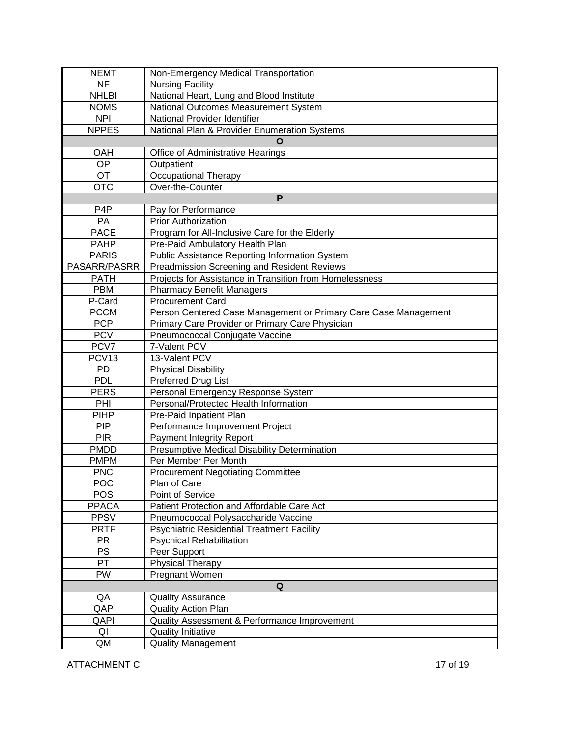| <b>NEMT</b>       | Non-Emergency Medical Transportation                            |
|-------------------|-----------------------------------------------------------------|
| <b>NF</b>         | <b>Nursing Facility</b>                                         |
| <b>NHLBI</b>      | National Heart, Lung and Blood Institute                        |
| <b>NOMS</b>       | National Outcomes Measurement System                            |
| <b>NPI</b>        | National Provider Identifier                                    |
| <b>NPPES</b>      | National Plan & Provider Enumeration Systems                    |
|                   | O                                                               |
| OAH               | Office of Administrative Hearings                               |
| <b>OP</b>         | Outpatient                                                      |
| OT                | <b>Occupational Therapy</b>                                     |
| <b>OTC</b>        | Over-the-Counter                                                |
|                   | P                                                               |
| P <sub>4</sub> P  | Pay for Performance                                             |
| PA                | <b>Prior Authorization</b>                                      |
| <b>PACE</b>       | Program for All-Inclusive Care for the Elderly                  |
| <b>PAHP</b>       | Pre-Paid Ambulatory Health Plan                                 |
| <b>PARIS</b>      | <b>Public Assistance Reporting Information System</b>           |
| PASARR/PASRR      | Preadmission Screening and Resident Reviews                     |
| <b>PATH</b>       | Projects for Assistance in Transition from Homelessness         |
| <b>PBM</b>        | <b>Pharmacy Benefit Managers</b>                                |
| P-Card            | <b>Procurement Card</b>                                         |
| <b>PCCM</b>       | Person Centered Case Management or Primary Care Case Management |
| <b>PCP</b>        | Primary Care Provider or Primary Care Physician                 |
| <b>PCV</b>        | Pneumococcal Conjugate Vaccine                                  |
| PCV7              | 7-Valent PCV                                                    |
| PCV <sub>13</sub> | 13-Valent PCV                                                   |
| PD                | <b>Physical Disability</b>                                      |
| <b>PDL</b>        | <b>Preferred Drug List</b>                                      |
| <b>PERS</b>       | Personal Emergency Response System                              |
| PHI               | Personal/Protected Health Information                           |
| <b>PIHP</b>       | Pre-Paid Inpatient Plan                                         |
| <b>PIP</b>        | Performance Improvement Project                                 |
| <b>PIR</b>        | <b>Payment Integrity Report</b>                                 |
| <b>PMDD</b>       | Presumptive Medical Disability Determination                    |
| <b>PMPM</b>       | Per Member Per Month                                            |
| <b>PNC</b>        | <b>Procurement Negotiating Committee</b>                        |
| <b>POC</b>        | Plan of Care                                                    |
| <b>POS</b>        | Point of Service                                                |
| <b>PPACA</b>      | Patient Protection and Affordable Care Act                      |
| <b>PPSV</b>       | Pneumococcal Polysaccharide Vaccine                             |
| <b>PRTF</b>       | <b>Psychiatric Residential Treatment Facility</b>               |
| <b>PR</b>         | <b>Psychical Rehabilitation</b>                                 |
| <b>PS</b>         | Peer Support                                                    |
| PT                | <b>Physical Therapy</b>                                         |
| PW                | Pregnant Women                                                  |
| Q                 |                                                                 |
| QA                | <b>Quality Assurance</b>                                        |
| QAP               | <b>Quality Action Plan</b>                                      |
| QAPI              | Quality Assessment & Performance Improvement                    |
| QI                | <b>Quality Initiative</b>                                       |
| QM                | <b>Quality Management</b>                                       |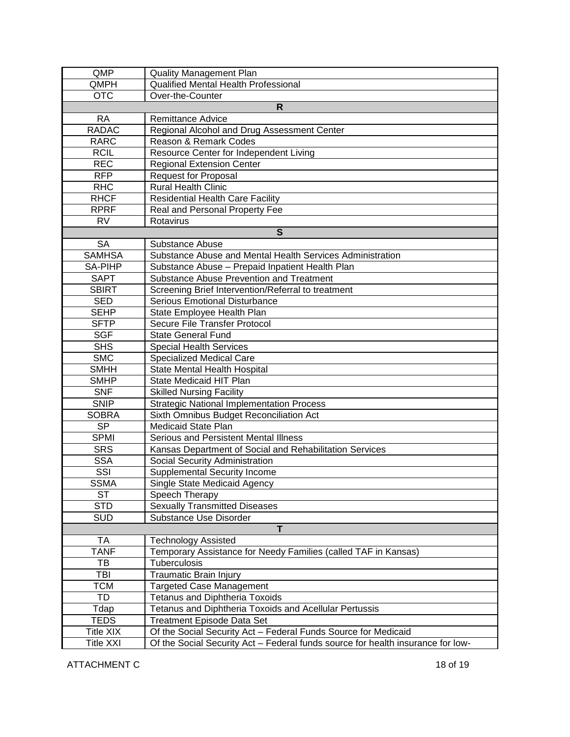| QMP              | <b>Quality Management Plan</b>                                                  |  |
|------------------|---------------------------------------------------------------------------------|--|
| QMPH             | <b>Qualified Mental Health Professional</b>                                     |  |
| <b>OTC</b>       | Over-the-Counter                                                                |  |
| $\mathsf{R}$     |                                                                                 |  |
| <b>RA</b>        | <b>Remittance Advice</b>                                                        |  |
| <b>RADAC</b>     | Regional Alcohol and Drug Assessment Center                                     |  |
| <b>RARC</b>      | Reason & Remark Codes                                                           |  |
| <b>RCIL</b>      | Resource Center for Independent Living                                          |  |
| <b>REC</b>       | <b>Regional Extension Center</b>                                                |  |
| <b>RFP</b>       | <b>Request for Proposal</b>                                                     |  |
| <b>RHC</b>       | <b>Rural Health Clinic</b>                                                      |  |
| <b>RHCF</b>      | <b>Residential Health Care Facility</b>                                         |  |
| <b>RPRF</b>      | Real and Personal Property Fee                                                  |  |
| <b>RV</b>        | Rotavirus                                                                       |  |
|                  | S                                                                               |  |
| <b>SA</b>        | Substance Abuse                                                                 |  |
| <b>SAMHSA</b>    | Substance Abuse and Mental Health Services Administration                       |  |
| SA-PIHP          | Substance Abuse - Prepaid Inpatient Health Plan                                 |  |
| <b>SAPT</b>      | Substance Abuse Prevention and Treatment                                        |  |
| <b>SBIRT</b>     | Screening Brief Intervention/Referral to treatment                              |  |
| <b>SED</b>       | <b>Serious Emotional Disturbance</b>                                            |  |
| <b>SEHP</b>      | State Employee Health Plan                                                      |  |
| <b>SFTP</b>      | Secure File Transfer Protocol                                                   |  |
| <b>SGF</b>       | <b>State General Fund</b>                                                       |  |
| <b>SHS</b>       | <b>Special Health Services</b>                                                  |  |
| <b>SMC</b>       | <b>Specialized Medical Care</b>                                                 |  |
| <b>SMHH</b>      | <b>State Mental Health Hospital</b>                                             |  |
| <b>SMHP</b>      | State Medicaid HIT Plan                                                         |  |
| <b>SNF</b>       | <b>Skilled Nursing Facility</b>                                                 |  |
| <b>SNIP</b>      | <b>Strategic National Implementation Process</b>                                |  |
| <b>SOBRA</b>     |                                                                                 |  |
| <b>SP</b>        | Sixth Omnibus Budget Reconciliation Act<br><b>Medicaid State Plan</b>           |  |
| <b>SPMI</b>      | Serious and Persistent Mental Illness                                           |  |
| <b>SRS</b>       | Kansas Department of Social and Rehabilitation Services                         |  |
| <b>SSA</b>       |                                                                                 |  |
|                  | Social Security Administration                                                  |  |
| SSI              | <b>Supplemental Security Income</b>                                             |  |
| <b>SSMA</b>      | Single State Medicaid Agency                                                    |  |
| <b>ST</b>        | Speech Therapy                                                                  |  |
| STD              | <b>Sexually Transmitted Diseases</b>                                            |  |
| <b>SUD</b>       | Substance Use Disorder<br>T                                                     |  |
|                  |                                                                                 |  |
| TA               | <b>Technology Assisted</b>                                                      |  |
| <b>TANF</b>      | Temporary Assistance for Needy Families (called TAF in Kansas)                  |  |
| TВ               | Tuberculosis                                                                    |  |
| TBI              | Traumatic Brain Injury                                                          |  |
| TCM              | <b>Targeted Case Management</b>                                                 |  |
| TD               | <b>Tetanus and Diphtheria Toxoids</b>                                           |  |
| Tdap             | Tetanus and Diphtheria Toxoids and Acellular Pertussis                          |  |
| <b>TEDS</b>      | <b>Treatment Episode Data Set</b>                                               |  |
| Title XIX        | Of the Social Security Act - Federal Funds Source for Medicaid                  |  |
| <b>Title XXI</b> | Of the Social Security Act - Federal funds source for health insurance for low- |  |